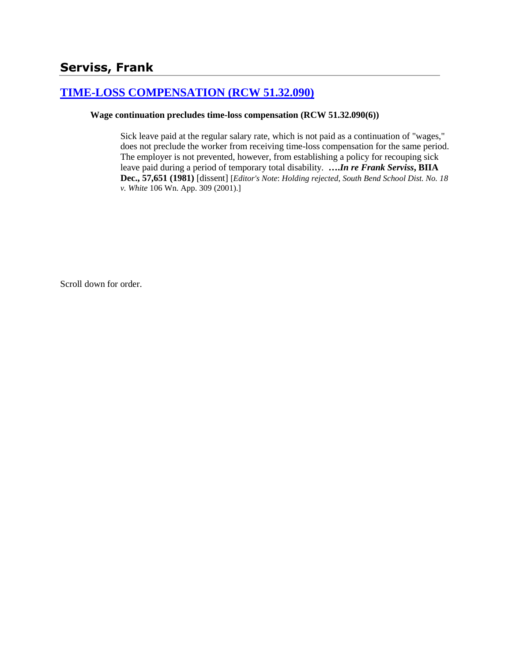# **[TIME-LOSS COMPENSATION \(RCW 51.32.090\)](http://www.biia.wa.gov/SDSubjectIndex.html#TIME_LOSS_COMPENSATION)**

### **Wage continuation precludes time-loss compensation (RCW 51.32.090(6))**

Sick leave paid at the regular salary rate, which is not paid as a continuation of "wages," does not preclude the worker from receiving time-loss compensation for the same period. The employer is not prevented, however, from establishing a policy for recouping sick leave paid during a period of temporary total disability. **….***In re Frank Serviss***, BIIA Dec., 57,651 (1981)** [dissent] [*Editor's Note*: *Holding rejected*, *South Bend School Dist. No. 18 v. White* 106 Wn. App. 309 (2001).]

Scroll down for order.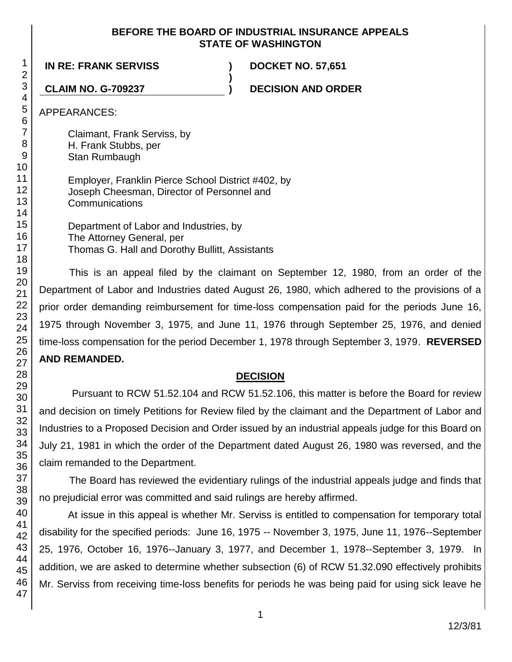### **BEFORE THE BOARD OF INDUSTRIAL INSURANCE APPEALS STATE OF WASHINGTON**

**)**

**IN RE: FRANK SERVISS ) DOCKET NO. 57,651**

**CLAIM NO. G-709237 ) DECISION AND ORDER**

APPEARANCES:

Claimant, Frank Serviss, by H. Frank Stubbs, per Stan Rumbaugh

Employer, Franklin Pierce School District #402, by Joseph Cheesman, Director of Personnel and **Communications** 

Department of Labor and Industries, by The Attorney General, per Thomas G. Hall and Dorothy Bullitt, Assistants

This is an appeal filed by the claimant on September 12, 1980, from an order of the Department of Labor and Industries dated August 26, 1980, which adhered to the provisions of a prior order demanding reimbursement for time-loss compensation paid for the periods June 16, 1975 through November 3, 1975, and June 11, 1976 through September 25, 1976, and denied time-loss compensation for the period December 1, 1978 through September 3, 1979. **REVERSED AND REMANDED.**

# **DECISION**

Pursuant to RCW 51.52.104 and RCW 51.52.106, this matter is before the Board for review and decision on timely Petitions for Review filed by the claimant and the Department of Labor and Industries to a Proposed Decision and Order issued by an industrial appeals judge for this Board on July 21, 1981 in which the order of the Department dated August 26, 1980 was reversed, and the claim remanded to the Department.

The Board has reviewed the evidentiary rulings of the industrial appeals judge and finds that no prejudicial error was committed and said rulings are hereby affirmed.

At issue in this appeal is whether Mr. Serviss is entitled to compensation for temporary total disability for the specified periods: June 16, 1975 -- November 3, 1975, June 11, 1976--September 25, 1976, October 16, 1976--January 3, 1977, and December 1, 1978--September 3, 1979. In addition, we are asked to determine whether subsection (6) of RCW 51.32.090 effectively prohibits Mr. Serviss from receiving time-loss benefits for periods he was being paid for using sick leave he

1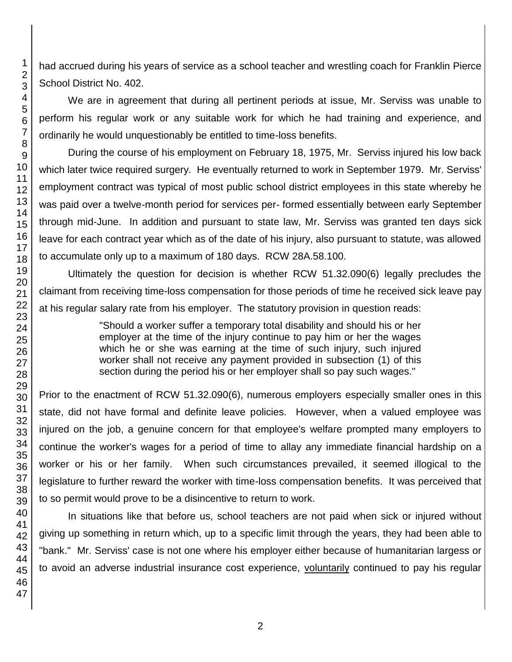had accrued during his years of service as a school teacher and wrestling coach for Franklin Pierce School District No. 402.

We are in agreement that during all pertinent periods at issue, Mr. Serviss was unable to perform his regular work or any suitable work for which he had training and experience, and ordinarily he would unquestionably be entitled to time-loss benefits.

During the course of his employment on February 18, 1975, Mr. Serviss injured his low back which later twice required surgery. He eventually returned to work in September 1979. Mr. Serviss' employment contract was typical of most public school district employees in this state whereby he was paid over a twelve-month period for services per- formed essentially between early September through mid-June. In addition and pursuant to state law, Mr. Serviss was granted ten days sick leave for each contract year which as of the date of his injury, also pursuant to statute, was allowed to accumulate only up to a maximum of 180 days. RCW 28A.58.100.

Ultimately the question for decision is whether RCW 51.32.090(6) legally precludes the claimant from receiving time-loss compensation for those periods of time he received sick leave pay at his regular salary rate from his employer. The statutory provision in question reads:

> "Should a worker suffer a temporary total disability and should his or her employer at the time of the injury continue to pay him or her the wages which he or she was earning at the time of such injury, such injured worker shall not receive any payment provided in subsection (1) of this section during the period his or her employer shall so pay such wages."

Prior to the enactment of RCW 51.32.090(6), numerous employers especially smaller ones in this state, did not have formal and definite leave policies. However, when a valued employee was injured on the job, a genuine concern for that employee's welfare prompted many employers to continue the worker's wages for a period of time to allay any immediate financial hardship on a worker or his or her family. When such circumstances prevailed, it seemed illogical to the legislature to further reward the worker with time-loss compensation benefits. It was perceived that to so permit would prove to be a disincentive to return to work.

In situations like that before us, school teachers are not paid when sick or injured without giving up something in return which, up to a specific limit through the years, they had been able to "bank." Mr. Serviss' case is not one where his employer either because of humanitarian largess or to avoid an adverse industrial insurance cost experience, voluntarily continued to pay his regular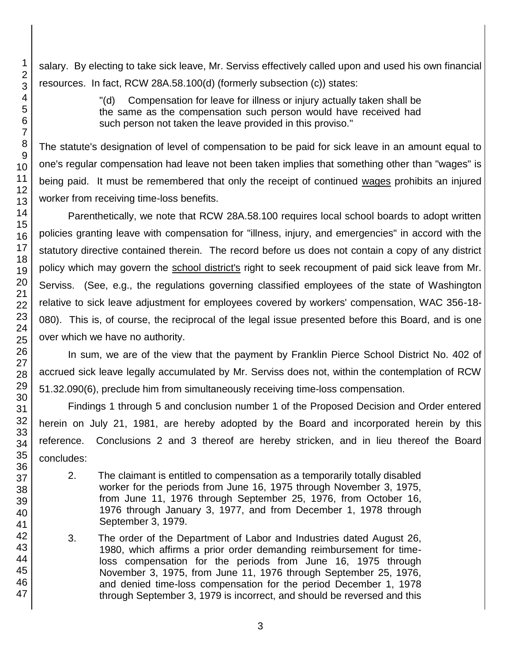salary. By electing to take sick leave, Mr. Serviss effectively called upon and used his own financial resources. In fact, RCW 28A.58.100(d) (formerly subsection (c)) states:

> "(d) Compensation for leave for illness or injury actually taken shall be the same as the compensation such person would have received had such person not taken the leave provided in this proviso."

The statute's designation of level of compensation to be paid for sick leave in an amount equal to one's regular compensation had leave not been taken implies that something other than "wages" is being paid. It must be remembered that only the receipt of continued wages prohibits an injured worker from receiving time-loss benefits.

Parenthetically, we note that RCW 28A.58.100 requires local school boards to adopt written policies granting leave with compensation for "illness, injury, and emergencies" in accord with the statutory directive contained therein. The record before us does not contain a copy of any district policy which may govern the school district's right to seek recoupment of paid sick leave from Mr. Serviss. (See, e.g., the regulations governing classified employees of the state of Washington relative to sick leave adjustment for employees covered by workers' compensation, WAC 356-18- 080). This is, of course, the reciprocal of the legal issue presented before this Board, and is one over which we have no authority.

In sum, we are of the view that the payment by Franklin Pierce School District No. 402 of accrued sick leave legally accumulated by Mr. Serviss does not, within the contemplation of RCW 51.32.090(6), preclude him from simultaneously receiving time-loss compensation.

Findings 1 through 5 and conclusion number 1 of the Proposed Decision and Order entered herein on July 21, 1981, are hereby adopted by the Board and incorporated herein by this reference. Conclusions 2 and 3 thereof are hereby stricken, and in lieu thereof the Board concludes:

- 2. The claimant is entitled to compensation as a temporarily totally disabled worker for the periods from June 16, 1975 through November 3, 1975, from June 11, 1976 through September 25, 1976, from October 16, 1976 through January 3, 1977, and from December 1, 1978 through September 3, 1979.
- 3. The order of the Department of Labor and Industries dated August 26, 1980, which affirms a prior order demanding reimbursement for timeloss compensation for the periods from June 16, 1975 through November 3, 1975, from June 11, 1976 through September 25, 1976, and denied time-loss compensation for the period December 1, 1978 through September 3, 1979 is incorrect, and should be reversed and this

3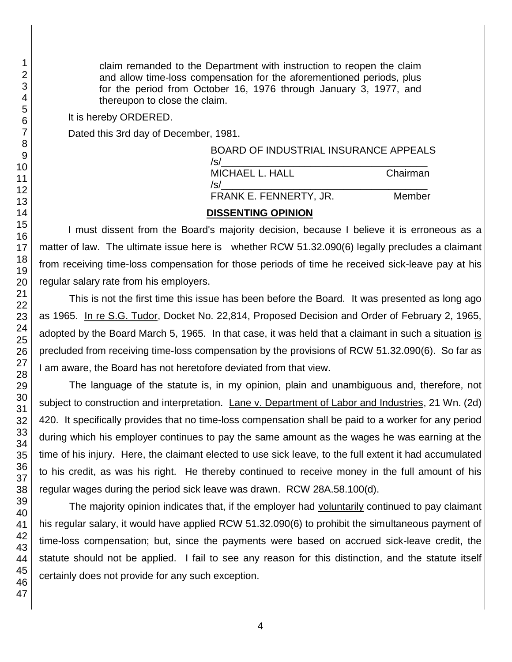claim remanded to the Department with instruction to reopen the claim and allow time-loss compensation for the aforementioned periods, plus for the period from October 16, 1976 through January 3, 1977, and thereupon to close the claim.

It is hereby ORDERED.

Dated this 3rd day of December, 1981.

| <b>BOARD OF INDUSTRIAL INSURANCE APPEALS</b><br>/s/ |          |
|-----------------------------------------------------|----------|
| MICHAEL L. HALL<br>/s/                              | Chairman |
| FRANK E. FENNERTY, JR.                              | Member   |
| <b>DISSENTING OPINION</b>                           |          |

I must dissent from the Board's majority decision, because I believe it is erroneous as a matter of law. The ultimate issue here is whether RCW 51.32.090(6) legally precludes a claimant from receiving time-loss compensation for those periods of time he received sick-leave pay at his regular salary rate from his employers.

# This is not the first time this issue has been before the Board. It was presented as long ago as 1965. In re S.G. Tudor, Docket No. 22,814, Proposed Decision and Order of February 2, 1965, adopted by the Board March 5, 1965. In that case, it was held that a claimant in such a situation is precluded from receiving time-loss compensation by the provisions of RCW 51.32.090(6). So far as I am aware, the Board has not heretofore deviated from that view.

The language of the statute is, in my opinion, plain and unambiguous and, therefore, not subject to construction and interpretation. Lane v. Department of Labor and Industries, 21 Wn. (2d) 420. It specifically provides that no time-loss compensation shall be paid to a worker for any period during which his employer continues to pay the same amount as the wages he was earning at the time of his injury. Here, the claimant elected to use sick leave, to the full extent it had accumulated to his credit, as was his right. He thereby continued to receive money in the full amount of his regular wages during the period sick leave was drawn. RCW 28A.58.100(d).

The majority opinion indicates that, if the employer had voluntarily continued to pay claimant his regular salary, it would have applied RCW 51.32.090(6) to prohibit the simultaneous payment of time-loss compensation; but, since the payments were based on accrued sick-leave credit, the statute should not be applied. I fail to see any reason for this distinction, and the statute itself certainly does not provide for any such exception.